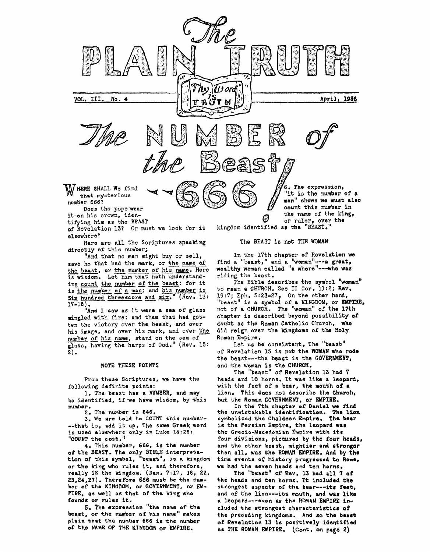

**of** Revelation **13? Or must we** look **for** it **olsewhera?** 

**directly of this** number; **Here are all** *the* **Scriptures speaking** 

save he that had the mark, or the name of the **beast, or the number** of his **name, Here is wisdom. Let him that hath understanding count the nwnber of the boast:** for **it "And that** no **man** might **buy** or **boll,**  is the number of a man; and his number is Six hundred threescore and six." (Rev. 13:

**17-18> "And I saw as it were a sea of glass mingled** with fire: **and them** that **had** gotten the **victory** over **the beast, and over his image, and over his mark, and over** the **nwnbar of his name, stand on the** *688* **ofglass, having the** harps of **God," (Rev. 15:**  ten the victor<br>his image, and<br>number of his<br>glass, having **2)** -

## **NOTE THESE POINTS**

**From these Scriptures, we have** the **following definite points:** 

1, **The beast has a NUMBER, and may be identified, if we have wisdom, by this number** ,

**2. The number is 666.** 

**3. We nre told to** COUKT **this number- &.-that is, add it up. The same Greek word is used elsewhere only in Luke 14:28: "COUNT** the *cost."* 

**oftha BEAST. The only BIBLE interpretation of this symbol, "beast", is a kinsdom or the king who rules it, and therefore, raally SS the kingdom. (Dan. 7:17, 18, 22, 23,24,27). Therefore 666 must be the number of the KIFIGDOM, or GOVERNMENT,** *or* **fM-PTRE, as well as that of ths king who founds or rules it. 4\* This number,** *666,* **is the number** 

**5, The** expression **"the name of ths beast, of the numbar bf his neme" makes plain that the number 666 is the number of the NAME OF THE KINGDOM or EMPIRE,** 

**The BEAST is** not THE **WOMAN** 

In the **17th chapter of Revalation we**  find **a "beast," and a 'bnonan"---a great, wealthy woman called "a whore"---who was riding** the **beast.** 

to **mean a CHURCH. See I1 Cor. 11:2; Rave 19:7; Eph, 5:23-27, "beast" is a symbol of a KINGDOM, or EMPIRE,**  not **of a CHURCH, The ''wanan''** of **th6 17th**  chapter is described beyond possibility of **doubt as the Roman Catholic Church, who did reign over** the **kingdoms of the Holy Roman Empire,**  The **Bible describes the symbol 'bom8n" On the other hand,** 

Let **us be consistent, The "beast"**  of Revelation 13 is not the WOMAN who rode the **beast---the beast is the GOVERNMENT,**  and the **woman is the CHURCH,** 

**The "beast" of Revelation 13 had 7 heads and 10 horns. It was like a leopard,**  with the feet of a bear, the mouth of a **lion. This does** not **describe tha Church, but the Roman GOVERNMENT, or IMPIRE,** 

In the 7th chapter of Daniel we find **+he unmistakable idcnkifiaation. The lion symbolized the Chaldean Empire. The bear is the Persian Empira, the leopard woo the Grec Fa-Macedoni an Empire with its**  four divisions, pictured by the four heads, **and the other beast, mightier and stronger than all, was the ROMAN EMPIRE, And by the time events** *of* **history prO6reSSOdto Rona, we had the seven heads and ten horns.** 

**Tha "bea6tI' of Rev. 13 had a11 7 of the heads and ten horns, Tt included the strongest aspeats** *of* **the bear---its fast, and of the lien---its mouth, and was like a leopard---even as the ROMAN BMPIRE included the strongest charactaristicr of the preoeding kingdoms. And** *sb* **the berot of Revelation 13** *is* **positively identified as THE ROMAN En\PIRE, (Cont. on page 2)**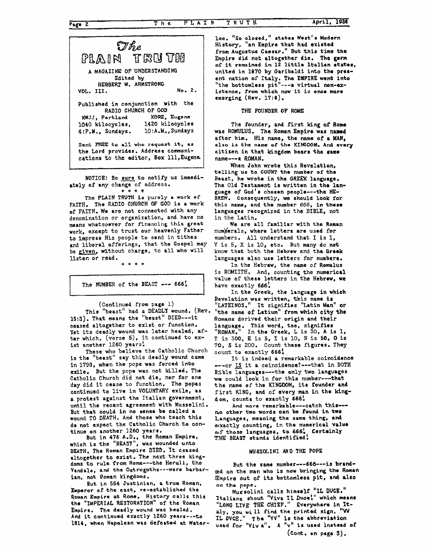

NOTICE: Be **sure** to notify **us immedi**ately of any change of address.

**The PLAIN TRUTH** *is* **purely a work of FAITH,** The RADIO **CHURCH OF GOD is a** work **of FAITH, We** are not connected **with any**  denomination or organization, and have no **means** whatsoever for **finaming this great work,** except to trust our heavenly Father to impress His people to send in tithes **and** liberal offerings, that the **Gospel** may **be given,** a'thout charge, to **all who** will listen or **read** .

**:k\*\*\*** 

**<sup>t</sup>**? I I The **NUMBER** of the **BEAST** *-0-* **666:** 

(Continued **from** page 1)

**This ''beast''** had **a DEADLY** wound. **(Rev. 13:3).** That **means the ''beast" DIED---it ceased** altogethar **to exist** or function. Yet its deadly wound was later healed, aftar which, (verse **5),** it continued to *ex***ist** another 1260 years!

**is** the "beast" say this deadly **wound came in** *1798,* when the pope **was** forced **into exile,** But **the** pope was **not killed.** The Catholic Church did not die, nor **for one day** did it caase to function. The **popes**  continued to live in **VOLUNTARY exile, as a** protest against **the** Italian govarnment, until the recent agreement with Mussalini. But that could in no sense be called a wound TO **DEATH. And those who teach this do not expect** the Catholic Church **te aon**tinue on another 1260 years. **Those** who **believe** the Catholic Church

**But** in **476 A.D.,** the Reman **Empire, which is** the **"BISAST", was** wounded unto **DEATH, The** Roman **Empire DIED.** It ceased **altogether** to **exist. The next three kingdoms to rule from Rome---the Heruli, the Vandals, and the Ostrogoths---were** barbar**ian, not** Roman kingdoms.

**Emperor af the east, re-established the Roman Empire at Rome. History calls this the "IMPERIAL RBSToRATTON"** of **the** Roman Empire. **The deadly wound was healed. And it continued** exactly **1260 years---to 1814, when Napalean was defeated at Water-But** in **554 Justinian, Q trus Roman,** 

**loo. "So closad," states** West's **Modern History, "an Ernpire that had existad from Augustus** Caesar." **But this time** the **Empire** did **not** altogether die. The **germ of** it **remained in 12 little Italian state., united in 1870 by** Garibaldi into tho **prer**ent **nation af Italy. The EMPSRE went into**  "the **bottomless** pit"---a virtual **non-existenoe, from** whioh **now** it **13 once moro**  emerging **(Rev.** 17: **8)** ,

THE **FOUNDER OF ROME** 

The founder, and **first** king **of Rome The Roman Empire was named was ROMULUS. His** name, the **name of a MAN, after him. also is the name of the KINGDOM. And every**  citizen **in** that **kingdom bears** the **6m1 name---a ROMAN.** 

When John wrote this Revelation, **telling us to COUNT the number of the**  Beast, he **wrote in** the **GREEK lanyaga,**  The Old Testament is written in the lan**guagc of** God's chosen **people---the HE-BREW. Consequently, we should leak for this name, and the number 666,** in these languages recognized in the **BIBLE, not**  in the Latin.

num\$erals, **where** letters are **used for numbers. All** understand that I **is** I, **V** is 5, **X** is 10, etc. But many do **not**  know **that both** the **Hebrow and ths Grrek languages also use letters** far **numbera, We** are **all** familiar with **the Roman** 

In the Hebrew, the **name** of **Romulus is** ROMXITH. And, counting **the numerical**  value **of** these letters in the **Hebrew, we**  have exactly **666'.** 

In **the** Greek, the **language** in **which**  Revelation was **written, this name is "LATEINOS."** It signifies "Latin **Man" or**  "the name **of Latiwn" from which city** the Romans derived **their origin** and their **!anguage.** This word, **too,** signifies In the Greek, L **is** 30, **<sup>A</sup>is** 1, Romans derived their origin and their<br>language. This word, too, signifies<br>"ROMAN." In the Greek, L is 30, A is 1,<br>T is 300, E is 5, I is 10, N is 50, 0 is<br>70. S is 200. Count these figures. They 70, **S Ls** 200. Count these figures. **They**  count to exactly **666! ROMAN."** 

---or Is it **a** coinoidence?---that in **BOTH Bible** languages---the only two **languages we** could **look** in for this number---that **the name** of **the** KINGDOM, **its** founder and first KING, and of every man in the king**dom,** counts **to** exaotly **666'.**  It is **indeed a** remarkable coincidonoe

**n,o** other **two worda oan be** found **in two**  Languages, meaning the same thing, and **alxactly** counting, in **the** numerical **valuo bf those languages, to** *666:* Certainly **THE BEAST at** ands **identified**  And **mere** remarkable---oatch **this---** 

## MClSSOLLNI **AND THE POPE**

But the same number---666---is branded on **the man** who **is now** bringing **the** Roman **Empire** out of **its bottomless pit, end ah on** *the* **pap.** 

**Italians shout ''Viva TL Duoe!" whioh mean8**  "LONG LIVE THE CHIEF." Everywhere in It**aly, you will find the printed sign, "W 11, DVCE."**  ha **"VV" is** the **abbreviation**  used for "Viv a". A "v" is used instead of Mussolini **calls** himself **"ZL DUCE." (cont, rn pap 3).**